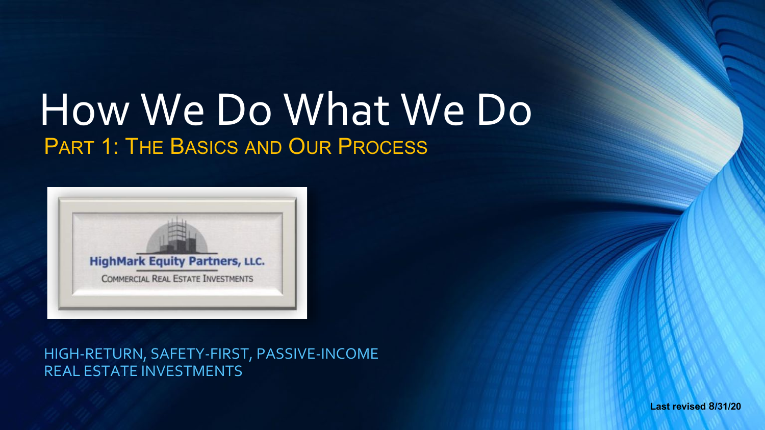## How We Do What We Do PART 1: THE BASICS AND OUR PROCESS



HIGH-RETURN, SAFETY-FIRST, PASSIVE-INCOME REAL ESTATE INVESTMENTS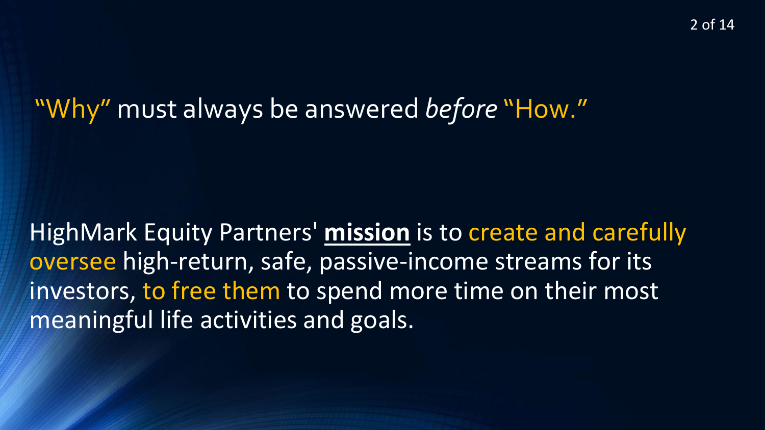2 of 14

#### "Why" must always be answered *before* "How."

HighMark Equity Partners' **mission** is to create and carefully oversee high-return, safe, passive-income streams for its investors, to free them to spend more time on their most meaningful life activities and goals.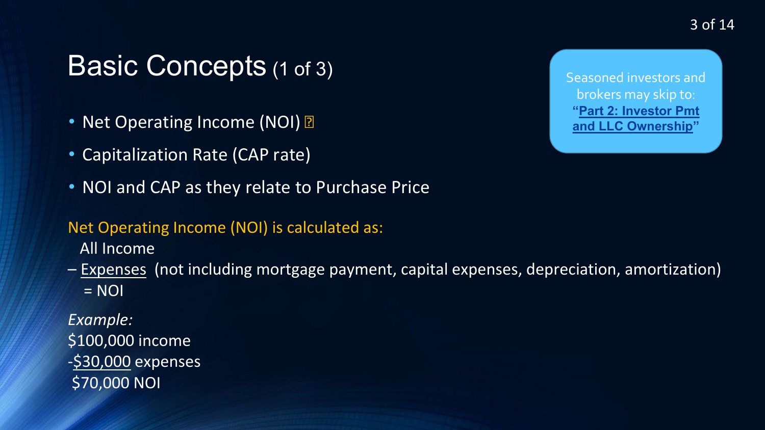### Basic Concepts (1 of 3)

- Net Operating Income (NOI) ?
- Capitalization Rate (CAP rate)
- NOI and CAP as they relate to Purchase Price

#### Net Operating Income (NOI) is calculated as:

All Income

– Expenses (not including mortgage payment, capital expenses, depreciation, amortization)  $=$  NOI

*Example:* \$100,000 income -\$30,000 expenses \$70,000 NOI

Seasoned investors and brokers may skip to: **"Part 2: Investor Pmt and LLC Ownership"**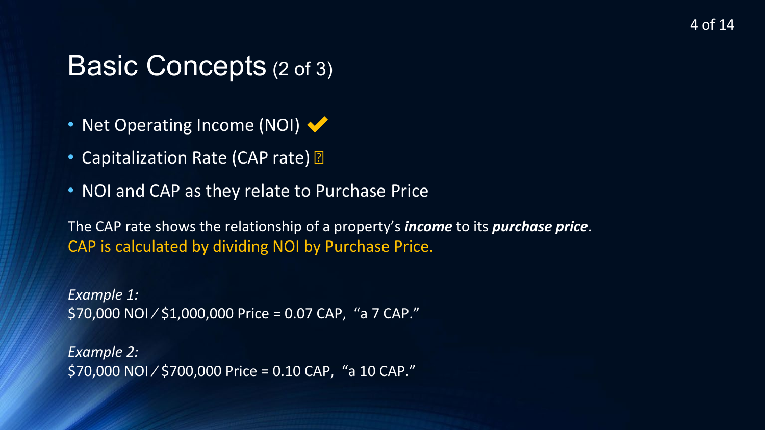#### Basic Concepts (2 of 3)

- Net Operating Income (NOI)  $\blacktriangledown$
- Capitalization Rate (CAP rate) 2
- NOI and CAP as they relate to Purchase Price

The CAP rate shows the relationship of a property's *income* to its *purchase price*. CAP is calculated by dividing NOI by Purchase Price.

*Example 1:*  $$70,000$  NOI  $/$ \$1,000,000 Price = 0.07 CAP, "a 7 CAP."

*Example 2:*  $$70,000$  NOI  $/$ \$700,000 Price = 0.10 CAP, "a 10 CAP."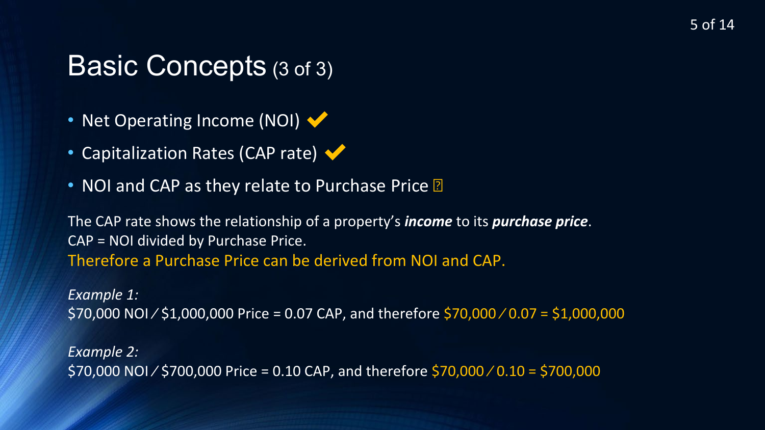### Basic Concepts (3 of 3)

- Net Operating Income (NOI) •
- Capitalization Rates (CAP rate)  $\blacktriangledown$
- NOI and CAP as they relate to Purchase Price 2

The CAP rate shows the relationship of a property's *income* to its *purchase price*. CAP = NOI divided by Purchase Price. Therefore a Purchase Price can be derived from NOI and CAP.

*Example 1:*  $$70,000$  NOI  $/$ \$1,000,000 Price = 0.07 CAP, and therefore \$70,000  $/0.07 = $1,000,000$ 

*Example 2:*  $$70,000$  NOI  $/$ \$700,000 Price = 0.10 CAP, and therefore \$70,000  $/$  0.10 = \$700,000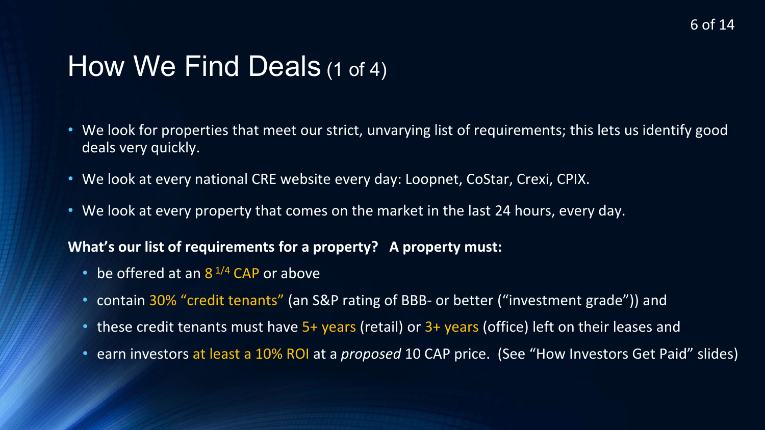### How We Find Deals (1 of 4)

- We look for properties that meet our strict, unvarying list of requirements; this lets us identify good deals very quickly.
- We look at every national CRE website every day: Loopnet, CoStar, Crexi, CPIX.
- We look at every property that comes on the market in the last 24 hours, every day.

#### **What's our list of requirements for a property? A property must:**

- be offered at an  $8^{1/4}$  CAP or above
- contain 30% "credit tenants" (an S&P rating of BBB- or better ("investment grade")) and
- these credit tenants must have 5+ years (retail) or 3+ years (office) left on their leases and
- earn investors at least a 10% ROI at a *proposed* 10 CAP price. (See "How Investors Get Paid" slides)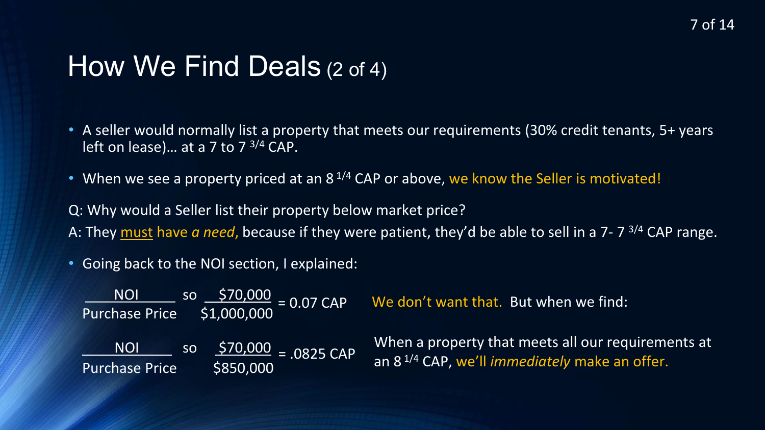### How We Find Deals (2 of 4)

- A seller would normally list a property that meets our requirements (30% credit tenants, 5+ years left on lease)... at a 7 to 7  $3/4$  CAP.
- When we see a property priced at an  $8^{1/4}$  CAP or above, we know the Seller is motivated!

Q: Why would a Seller list their property below market price?

A: They must have *a need*, because if they were patient, they'd be able to sell in a 7- 7 3/4 CAP range.

• Going back to the NOI section, I explained:

| <b>NOI</b><br>$\frac{\text{SO}}{\text{SO}} = \frac{\text{S}}{20,000} = 0.07 \text{ CAP}$<br>\$1,000,000<br>Purchase Price                                                                      | We don't want that. But when we find:                                                                                  |
|------------------------------------------------------------------------------------------------------------------------------------------------------------------------------------------------|------------------------------------------------------------------------------------------------------------------------|
| $\begin{array}{ c c c c c c c c c } \hline \text{so} & \frac{\text{S70,000}}{\text{S70,000}} & = & 0825 \text{ CAP} \ \hline \end{array}$<br><b>INOI</b><br><b>Purchase Price</b><br>\$850,000 | When a property that meets all our requirements at<br>an 8 <sup>1/4</sup> CAP, we'll <i>immediately</i> make an offer. |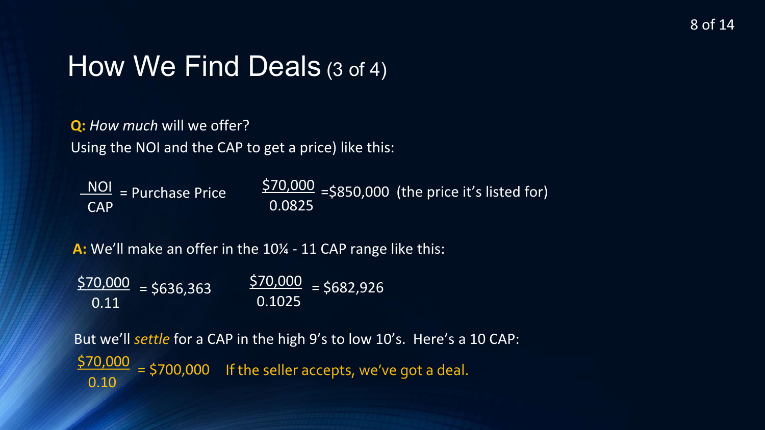### How We Find Deals (3 of 4)

**Q:** How much will we offer? Using the NOI and the CAP to get a price) like this:

<u>\$70,000</u> 0.0825 =\$850,000 (the price it's listed for) NOI = Purchase Price CAP

**A:** We'll make an offer in the 10¼ - 11 CAP range like this:

\$70,000 0.11 \$70,000 0.1025  $=$  \$636,363  $=$   $\frac{$10,000}{$682,926}$ 

\$70,000  $\frac{70,000}{0.10}$  = \$700,000 If the seller accepts, we've got a deal. But we'll *settle* for a CAP in the high 9's to low 10's. Here's a 10 CAP: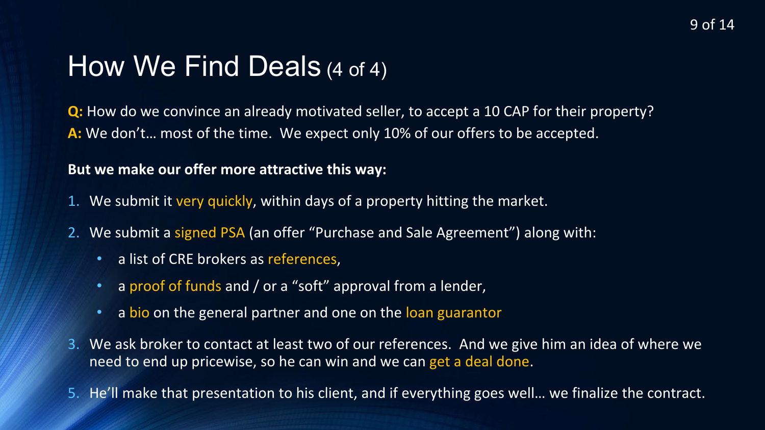### How We Find Deals (4 of 4)

**Q:** How do we convince an already motivated seller, to accept a 10 CAP for their property? **A:** We don't… most of the time. We expect only 10% of our offers to be accepted.

#### **But we make our offer more attractive this way:**

- 1. We submit it very quickly, within days of a property hitting the market.
- 2. We submit a signed PSA (an offer "Purchase and Sale Agreement") along with:
	- a list of CRE brokers as references,
	- a proof of funds and / or a "soft" approval from a lender,
	- a bio on the general partner and one on the loan guarantor
- 3. We ask broker to contact at least two of our references. And we give him an idea of where we need to end up pricewise, so he can win and we can get a deal done.
- 5. He'll make that presentation to his client, and if everything goes well… we finalize the contract.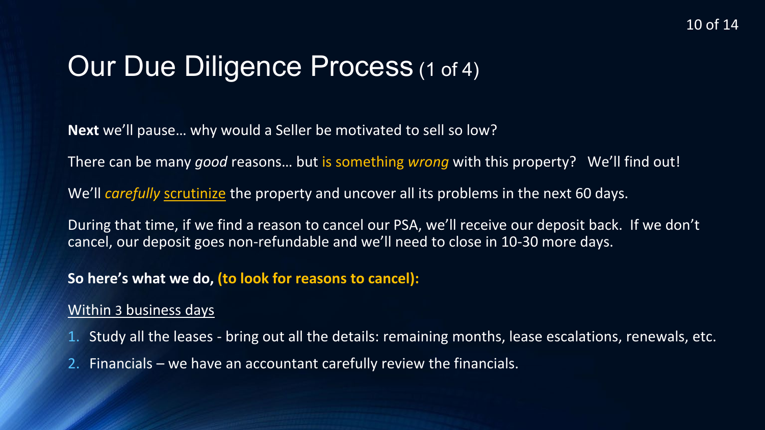### Our Due Diligence Process (1 of 4)

**Next** we'll pause… why would a Seller be motivated to sell so low?

There can be many *good* reasons… but is something *wrong* with this property? We'll find out!

We'll *carefully* scrutinize the property and uncover all its problems in the next 60 days.

During that time, if we find a reason to cancel our PSA, we'll receive our deposit back. If we don't cancel, our deposit goes non-refundable and we'll need to close in 10-30 more days.

#### **So here's what we do, (to look for reasons to cancel):**

#### Within 3 business days

- 1. Study all the leases bring out all the details: remaining months, lease escalations, renewals, etc.
- 2. Financials we have an accountant carefully review the financials.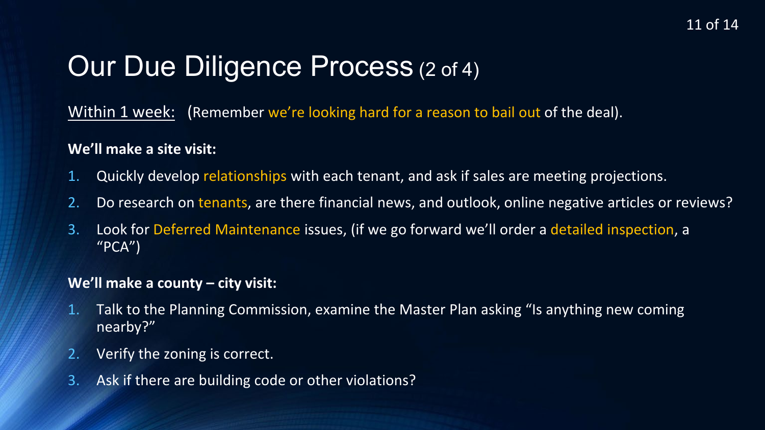### Our Due Diligence Process (2 of 4)

Within 1 week: (Remember we're looking hard for a reason to bail out of the deal).

#### **We'll make a site visit:**

- 1. Quickly develop relationships with each tenant, and ask if sales are meeting projections.
- 2. Do research on tenants, are there financial news, and outlook, online negative articles or reviews?
- 3. Look for Deferred Maintenance issues, (if we go forward we'll order a detailed inspection, a " $PCA"$

#### **We'll make a county – city visit:**

- 1. Talk to the Planning Commission, examine the Master Plan asking "Is anything new coming nearby?"
- 2. Verify the zoning is correct.
- 3. Ask if there are building code or other violations?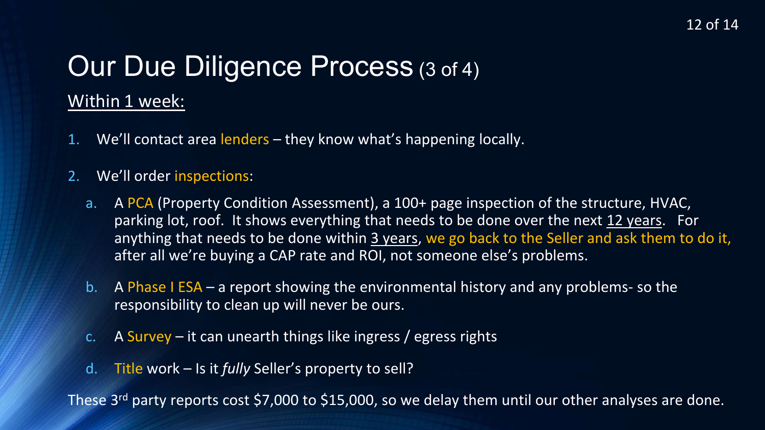# Our Due Diligence Process (3 of 4)

#### Within 1 week:

- 1. We'll contact area lenders they know what's happening locally.
- 2. We'll order inspections:
	- a. A PCA (Property Condition Assessment), a 100+ page inspection of the structure, HVAC, parking lot, roof. It shows everything that needs to be done over the next 12 years. For anything that needs to be done within 3 years, we go back to the Seller and ask them to do it, after all we're buying a CAP rate and ROI, not someone else's problems.
	- b. A Phase I ESA a report showing the environmental history and any problems- so the responsibility to clean up will never be ours.
	- c. A Survey it can unearth things like ingress / egress rights
	- d. Title work Is it *fully* Seller's property to sell?

These 3<sup>rd</sup> party reports cost \$7,000 to \$15,000, so we delay them until our other analyses are done.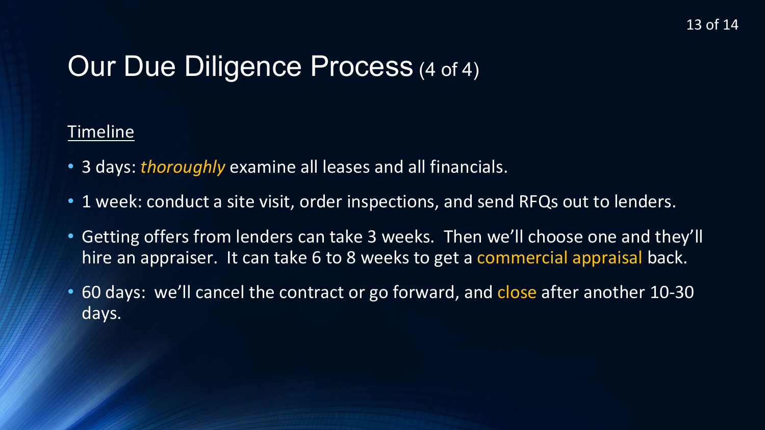### Our Due Diligence Process (4 of 4)

#### **Timeline**

- 3 days: *thoroughly* examine all leases and all financials.
- 1 week: conduct a site visit, order inspections, and send RFQs out to lenders.
- Getting offers from lenders can take 3 weeks. Then we'll choose one and they'll hire an appraiser. It can take 6 to 8 weeks to get a commercial appraisal back.
- 60 days: we'll cancel the contract or go forward, and close after another 10-30 days.